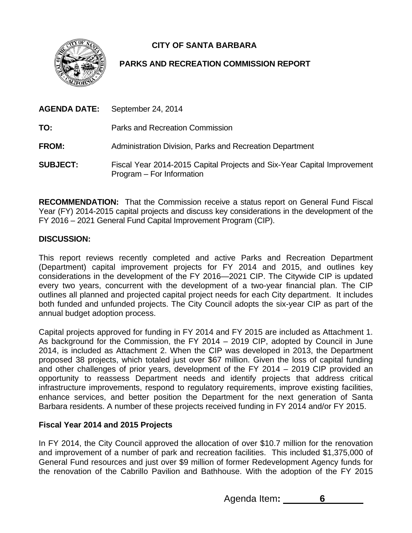**CITY OF SANTA BARBARA** 



# **PARKS AND RECREATION COMMISSION REPORT**

|                 | <b>AGENDA DATE:</b> September 24, 2014                                                               |
|-----------------|------------------------------------------------------------------------------------------------------|
| TO:             | Parks and Recreation Commission                                                                      |
| <b>FROM:</b>    | Administration Division, Parks and Recreation Department                                             |
| <b>SUBJECT:</b> | Fiscal Year 2014-2015 Capital Projects and Six-Year Capital Improvement<br>Program – For Information |

**RECOMMENDATION:** That the Commission receive a status report on General Fund Fiscal Year (FY) 2014-2015 capital projects and discuss key considerations in the development of the FY 2016 – 2021 General Fund Capital Improvement Program (CIP).

## **DISCUSSION:**

This report reviews recently completed and active Parks and Recreation Department (Department) capital improvement projects for FY 2014 and 2015, and outlines key considerations in the development of the FY 2016—2021 CIP. The Citywide CIP is updated every two years, concurrent with the development of a two-year financial plan. The CIP outlines all planned and projected capital project needs for each City department. It includes both funded and unfunded projects. The City Council adopts the six-year CIP as part of the annual budget adoption process.

Capital projects approved for funding in FY 2014 and FY 2015 are included as Attachment 1. As background for the Commission, the FY 2014 – 2019 CIP, adopted by Council in June 2014, is included as Attachment 2. When the CIP was developed in 2013, the Department proposed 38 projects, which totaled just over \$67 million. Given the loss of capital funding and other challenges of prior years, development of the FY 2014 – 2019 CIP provided an opportunity to reassess Department needs and identify projects that address critical infrastructure improvements, respond to regulatory requirements, improve existing facilities, enhance services, and better position the Department for the next generation of Santa Barbara residents. A number of these projects received funding in FY 2014 and/or FY 2015.

#### **Fiscal Year 2014 and 2015 Projects**

In FY 2014, the City Council approved the allocation of over \$10.7 million for the renovation and improvement of a number of park and recreation facilities. This included \$1,375,000 of General Fund resources and just over \$9 million of former Redevelopment Agency funds for the renovation of the Cabrillo Pavilion and Bathhouse. With the adoption of the FY 2015

Agenda Item**: 6**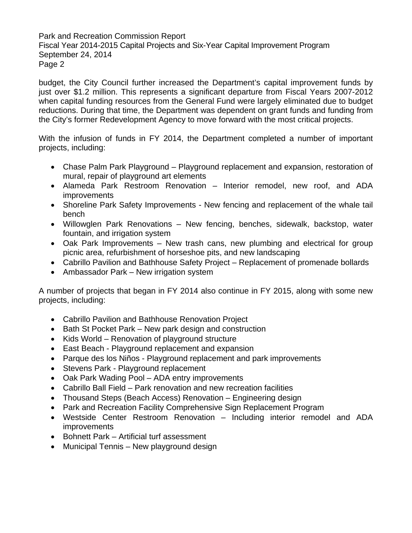Park and Recreation Commission Report Fiscal Year 2014-2015 Capital Projects and Six-Year Capital Improvement Program September 24, 2014 Page 2

budget, the City Council further increased the Department's capital improvement funds by just over \$1.2 million. This represents a significant departure from Fiscal Years 2007-2012 when capital funding resources from the General Fund were largely eliminated due to budget reductions. During that time, the Department was dependent on grant funds and funding from the City's former Redevelopment Agency to move forward with the most critical projects.

With the infusion of funds in FY 2014, the Department completed a number of important projects, including:

- Chase Palm Park Playground Playground replacement and expansion, restoration of mural, repair of playground art elements
- Alameda Park Restroom Renovation Interior remodel, new roof, and ADA improvements
- Shoreline Park Safety Improvements New fencing and replacement of the whale tail bench
- Willowglen Park Renovations New fencing, benches, sidewalk, backstop, water fountain, and irrigation system
- Oak Park Improvements New trash cans, new plumbing and electrical for group picnic area, refurbishment of horseshoe pits, and new landscaping
- Cabrillo Pavilion and Bathhouse Safety Project Replacement of promenade bollards
- Ambassador Park New irrigation system

A number of projects that began in FY 2014 also continue in FY 2015, along with some new projects, including:

- Cabrillo Pavilion and Bathhouse Renovation Project
- Bath St Pocket Park New park design and construction
- Kids World Renovation of playground structure
- East Beach Playground replacement and expansion
- Parque des los Niños Playground replacement and park improvements
- Stevens Park Playground replacement
- Oak Park Wading Pool ADA entry improvements
- Cabrillo Ball Field Park renovation and new recreation facilities
- Thousand Steps (Beach Access) Renovation Engineering design
- Park and Recreation Facility Comprehensive Sign Replacement Program
- Westside Center Restroom Renovation Including interior remodel and ADA improvements
- Bohnett Park Artificial turf assessment
- Municipal Tennis New playground design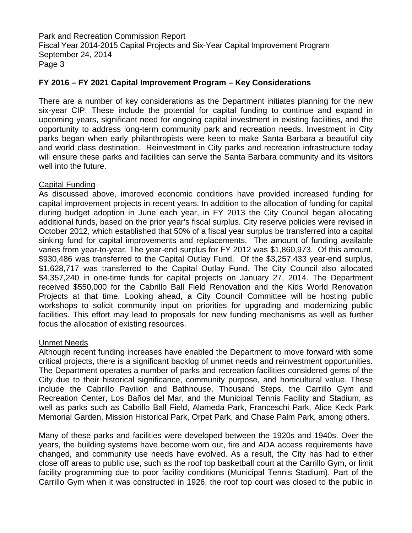Park and Recreation Commission Report Fiscal Year 2014-2015 Capital Projects and Six-Year Capital Improvement Program September 24, 2014 Page 3

### **FY 2016 – FY 2021 Capital Improvement Program – Key Considerations**

There are a number of key considerations as the Department initiates planning for the new six-year CIP. These include the potential for capital funding to continue and expand in upcoming years, significant need for ongoing capital investment in existing facilities, and the opportunity to address long-term community park and recreation needs. Investment in City parks began when early philanthropists were keen to make Santa Barbara a beautiful city and world class destination. Reinvestment in City parks and recreation infrastructure today will ensure these parks and facilities can serve the Santa Barbara community and its visitors well into the future.

#### Capital Funding

As discussed above, improved economic conditions have provided increased funding for capital improvement projects in recent years. In addition to the allocation of funding for capital during budget adoption in June each year, in FY 2013 the City Council began allocating additional funds, based on the prior year's fiscal surplus. City reserve policies were revised in October 2012, which established that 50% of a fiscal year surplus be transferred into a capital sinking fund for capital improvements and replacements. The amount of funding available varies from year-to-year. The year-end surplus for FY 2012 was \$1,860,973. Of this amount, \$930,486 was transferred to the Capital Outlay Fund. Of the \$3,257,433 year-end surplus, \$1,628,717 was transferred to the Capital Outlay Fund. The City Council also allocated \$4,357,240 in one-time funds for capital projects on January 27, 2014. The Department received \$550,000 for the Cabrillo Ball Field Renovation and the Kids World Renovation Projects at that time. Looking ahead, a City Council Committee will be hosting public workshops to solicit community input on priorities for upgrading and modernizing public facilities. This effort may lead to proposals for new funding mechanisms as well as further focus the allocation of existing resources.

#### Unmet Needs

Although recent funding increases have enabled the Department to move forward with some critical projects, there is a significant backlog of unmet needs and reinvestment opportunities. The Department operates a number of parks and recreation facilities considered gems of the City due to their historical significance, community purpose, and horticultural value. These include the Cabrillo Pavilion and Bathhouse, Thousand Steps, the Carrillo Gym and Recreation Center, Los Baños del Mar, and the Municipal Tennis Facility and Stadium, as well as parks such as Cabrillo Ball Field, Alameda Park, Franceschi Park, Alice Keck Park Memorial Garden, Mission Historical Park, Orpet Park, and Chase Palm Park, among others.

Many of these parks and facilities were developed between the 1920s and 1940s. Over the years, the building systems have become worn out, fire and ADA access requirements have changed, and community use needs have evolved. As a result, the City has had to either close off areas to public use, such as the roof top basketball court at the Carrillo Gym, or limit facility programming due to poor facility conditions (Municipal Tennis Stadium). Part of the Carrillo Gym when it was constructed in 1926, the roof top court was closed to the public in